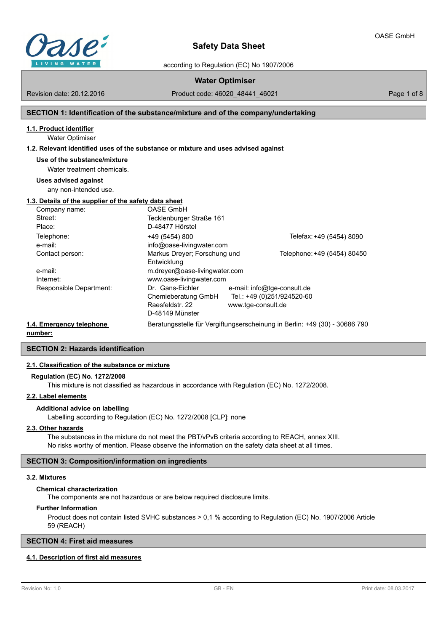

according to Regulation (EC) No 1907/2006

# **Water Optimiser**

Revision date: 20.12.2016

Product code: 46020\_48441\_46021 Page 1 of 8

## **SECTION 1: Identification of the substance/mixture and of the company/undertaking**

## **1.1. Product identifier**

Water Optimiser

#### **1.2. Relevant identified uses of the substance or mixture and uses advised against**

**Use of the substance/mixture**

Water treatment chemicals.

#### **Uses advised against**

any non-intended use.

# **1.3. Details of the supplier of the safety data sheet**

|                          | Company name:           | <b>OASE GmbH</b>              |                             |                                                                            |
|--------------------------|-------------------------|-------------------------------|-----------------------------|----------------------------------------------------------------------------|
|                          | Street:                 | Tecklenburger Straße 161      |                             |                                                                            |
|                          | Place:                  | D-48477 Hörstel               |                             |                                                                            |
|                          | Telephone:              | +49 (5454) 800                |                             | Telefax: +49 (5454) 8090                                                   |
|                          | e-mail:                 | info@oase-livingwater.com     |                             |                                                                            |
|                          | Contact person:         | Markus Dreyer; Forschung und  |                             | Telephone: +49 (5454) 80450                                                |
|                          |                         | Entwicklung                   |                             |                                                                            |
|                          | e-mail:                 | m.dreyer@oase-livingwater.com |                             |                                                                            |
|                          | Internet:               | www.oase-livingwater.com      |                             |                                                                            |
|                          | Responsible Department: | Dr. Gans-Eichler              | e-mail: info@tge-consult.de |                                                                            |
|                          |                         | Chemieberatung GmbH           | Tel.: +49 (0)251/924520-60  |                                                                            |
|                          |                         | Raesfeldstr, 22               | www.tge-consult.de          |                                                                            |
|                          |                         | D-48149 Münster               |                             |                                                                            |
| 1.4. Emergency telephone |                         |                               |                             | Beratungsstelle für Vergiftungserscheinung in Berlin: +49 (30) - 30686 790 |
|                          |                         |                               |                             |                                                                            |

**number:**

## **SECTION 2: Hazards identification**

## **2.1. Classification of the substance or mixture**

#### **Regulation (EC) No. 1272/2008**

This mixture is not classified as hazardous in accordance with Regulation (EC) No. 1272/2008.

#### **2.2. Label elements**

# **Additional advice on labelling**

Labelling according to Regulation (EC) No. 1272/2008 [CLP]: none

#### **2.3. Other hazards**

The substances in the mixture do not meet the PBT/vPvB criteria according to REACH, annex XIII. No risks worthy of mention. Please observe the information on the safety data sheet at all times.

### **SECTION 3: Composition/information on ingredients**

#### **3.2. Mixtures**

#### **Chemical characterization**

The components are not hazardous or are below required disclosure limits.

#### **Further Information**

Product does not contain listed SVHC substances > 0,1 % according to Regulation (EC) No. 1907/2006 Article 59 (REACH)

## **SECTION 4: First aid measures**

# **4.1. Description of first aid measures**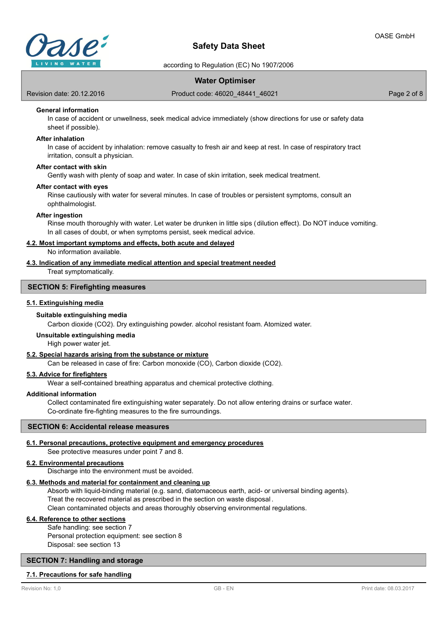

according to Regulation (EC) No 1907/2006

# **Water Optimiser**

Revision date: 20.12.2016

Product code: 46020\_48441\_46021 Page 2 of 8

# **General information**

In case of accident or unwellness, seek medical advice immediately (show directions for use or safety data sheet if possible).

#### **After inhalation**

In case of accident by inhalation: remove casualty to fresh air and keep at rest. In case of respiratory tract irritation, consult a physician.

## **After contact with skin**

Gently wash with plenty of soap and water. In case of skin irritation, seek medical treatment.

#### **After contact with eyes**

Rinse cautiously with water for several minutes. In case of troubles or persistent symptoms, consult an ophthalmologist.

#### **After ingestion**

Rinse mouth thoroughly with water. Let water be drunken in little sips (dilution effect). Do NOT induce vomiting. In all cases of doubt, or when symptoms persist, seek medical advice.

#### **4.2. Most important symptoms and effects, both acute and delayed**

No information available.

#### **4.3. Indication of any immediate medical attention and special treatment needed**

Treat symptomatically.

# **SECTION 5: Firefighting measures**

## **5.1. Extinguishing media**

#### **Suitable extinguishing media**

Carbon dioxide (CO2). Dry extinguishing powder. alcohol resistant foam. Atomized water.

#### **Unsuitable extinguishing media**

High power water jet.

#### **5.2. Special hazards arising from the substance or mixture**

Can be released in case of fire: Carbon monoxide (CO), Carbon dioxide (CO2).

## **5.3. Advice for firefighters**

Wear a self-contained breathing apparatus and chemical protective clothing.

#### **Additional information**

Collect contaminated fire extinguishing water separately. Do not allow entering drains or surface water. Co-ordinate fire-fighting measures to the fire surroundings.

#### **SECTION 6: Accidental release measures**

#### **6.1. Personal precautions, protective equipment and emergency procedures**

See protective measures under point 7 and 8.

#### **6.2. Environmental precautions**

Discharge into the environment must be avoided.

# **6.3. Methods and material for containment and cleaning up**

Absorb with liquid-binding material (e.g. sand, diatomaceous earth, acid- or universal binding agents). Treat the recovered material as prescribed in the section on waste disposal . Clean contaminated objects and areas thoroughly observing environmental regulations.

#### **6.4. Reference to other sections**

Safe handling: see section 7 Personal protection equipment: see section 8 Disposal: see section 13

# **SECTION 7: Handling and storage**

### **7.1. Precautions for safe handling**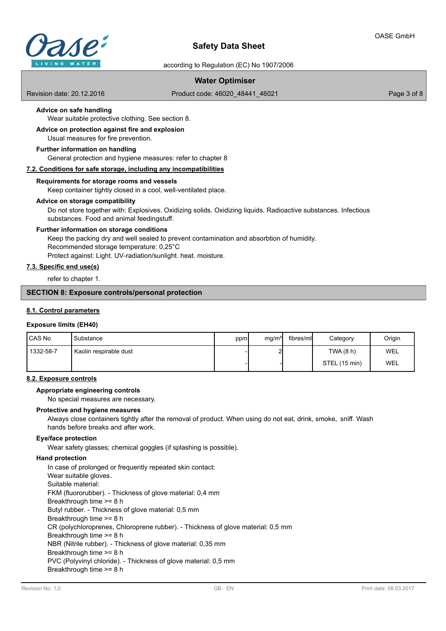

according to Regulation (EC) No 1907/2006

# **Water Optimiser**

Revision date: 20.12.2016

Product code: 46020\_48441\_46021 Page 3 of 8

# **Advice on safe handling**

Wear suitable protective clothing. See section 8.

#### Usual measures for fire prevention. **Advice on protection against fire and explosion**

## **Further information on handling**

General protection and hygiene measures: refer to chapter 8

## **7.2. Conditions for safe storage, including any incompatibilities**

## **Requirements for storage rooms and vessels**

Keep container tightly closed in a cool, well-ventilated place.

#### **Advice on storage compatibility**

Do not store together with: Explosives. Oxidizing solids. Oxidizing liquids. Radioactive substances. Infectious substances. Food and animal feedingstuff.

#### **Further information on storage conditions**

Keep the packing dry and well sealed to prevent contamination and absorbtion of humidity. Recommended storage temperature: 0,25°C Protect against: Light. UV-radiation/sunlight. heat. moisture.

## **7.3. Specific end use(s)**

refer to chapter 1.

# **SECTION 8: Exposure controls/personal protection**

#### **8.1. Control parameters**

## **Exposure limits (EH40)**

| <b>CAS No</b> | Substance              | ppm | mg/m <sup>3</sup> | fibres/mll | Category      | Origin |
|---------------|------------------------|-----|-------------------|------------|---------------|--------|
| 1332-58-7     | Kaolin respirable dust |     | പ                 |            | TWA (8 h)     | WEL    |
|               |                        |     |                   |            | STEL (15 min) | WEL    |

### **8.2. Exposure controls**

## **Appropriate engineering controls**

No special measures are necessary.

### **Protective and hygiene measures**

Always close containers tightly after the removal of product. When using do not eat, drink, smoke, sniff. Wash hands before breaks and after work.

#### **Eye/face protection**

Wear safety glasses; chemical goggles (if splashing is possible).

#### **Hand protection**

In case of prolonged or frequently repeated skin contact: Wear suitable gloves. Suitable material: FKM (fluororubber). - Thickness of glove material: 0,4 mm Breakthrough time >= 8 h Butyl rubber. - Thickness of glove material: 0,5 mm Breakthrough time >= 8 h CR (polychloroprenes, Chloroprene rubber). - Thickness of glove material: 0,5 mm Breakthrough time >= 8 h NBR (Nitrile rubber). - Thickness of glove material: 0,35 mm Breakthrough time >= 8 h PVC (Polyvinyl chloride). - Thickness of glove material: 0,5 mm Breakthrough time >= 8 h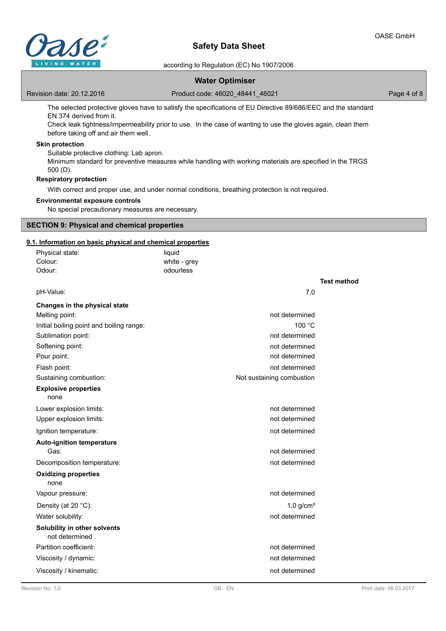

according to Regulation (EC) No 1907/2006

# **Water Optimiser**

Revision date: 20.12.2016

Product code: 46020\_48441\_46021 Page 4 of 8

The selected protective gloves have to satisfy the specifications of EU Directive 89/686/EEC and the standard EN 374 derived from it.

Check leak tightness/impermeability prior to use. In the case of wanting to use the gloves again, clean them before taking off and air them well.

# **Skin protection**

Suitable protective clothing: Lab apron. Minimum standard for preventive measures while handling with working materials are specified in the TRGS 500 (D).

## **Respiratory protection**

With correct and proper use, and under normal conditions, breathing protection is not required.

## **Environmental exposure controls**

No special precautionary measures are necessary.

### **SECTION 9: Physical and chemical properties**

## **9.1. Information on basic physical and chemical properties**

| Physical state:                                | liquid       |                           |                    |
|------------------------------------------------|--------------|---------------------------|--------------------|
| Colour:                                        | white - grey |                           |                    |
| Odour:                                         | odourless    |                           |                    |
|                                                |              |                           | <b>Test method</b> |
| pH-Value:                                      |              | 7,0                       |                    |
| Changes in the physical state                  |              |                           |                    |
| Melting point:                                 |              | not determined            |                    |
| Initial boiling point and boiling range:       |              | 100 °C                    |                    |
| Sublimation point:                             |              | not determined            |                    |
| Softening point:                               |              | not determined            |                    |
| Pour point:                                    |              | not determined            |                    |
| Flash point:                                   |              | not determined            |                    |
| Sustaining combustion:                         |              | Not sustaining combustion |                    |
| <b>Explosive properties</b><br>none            |              |                           |                    |
| Lower explosion limits:                        |              | not determined            |                    |
| Upper explosion limits:                        |              | not determined            |                    |
| Ignition temperature:                          |              | not determined            |                    |
| <b>Auto-ignition temperature</b><br>Gas:       |              | not determined            |                    |
| Decomposition temperature:                     |              | not determined            |                    |
| <b>Oxidizing properties</b><br>none            |              |                           |                    |
| Vapour pressure:                               |              | not determined            |                    |
| Density (at 20 °C):                            |              | $1,0$ g/cm <sup>3</sup>   |                    |
| Water solubility:                              |              | not determined            |                    |
| Solubility in other solvents<br>not determined |              |                           |                    |
| Partition coefficient:                         |              | not determined            |                    |
| Viscosity / dynamic:                           |              | not determined            |                    |
| Viscosity / kinematic:                         |              | not determined            |                    |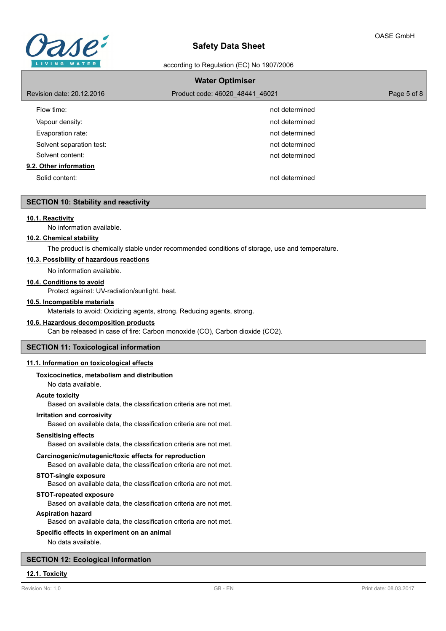

according to Regulation (EC) No 1907/2006

| <b>Water Optimiser</b>    |                                 |             |  |  |
|---------------------------|---------------------------------|-------------|--|--|
| Revision date: 20.12.2016 | Product code: 46020 48441 46021 | Page 5 of 8 |  |  |
| Flow time:                | not determined                  |             |  |  |
| Vapour density:           | not determined                  |             |  |  |
| Evaporation rate:         | not determined                  |             |  |  |
| Solvent separation test:  | not determined                  |             |  |  |
| Solvent content:          | not determined                  |             |  |  |
| 9.2. Other information    |                                 |             |  |  |
| Solid content:            | not determined                  |             |  |  |

#### **SECTION 10: Stability and reactivity**

#### **10.1. Reactivity**

No information available.

#### **10.2. Chemical stability**

The product is chemically stable under recommended conditions of storage, use and temperature.

# **10.3. Possibility of hazardous reactions**

No information available.

#### **10.4. Conditions to avoid**

Protect against: UV-radiation/sunlight. heat.

#### **10.5. Incompatible materials**

Materials to avoid: Oxidizing agents, strong. Reducing agents, strong.

#### **10.6. Hazardous decomposition products**

Can be released in case of fire: Carbon monoxide (CO), Carbon dioxide (CO2).

### **SECTION 11: Toxicological information**

#### **11.1. Information on toxicological effects**

#### **Toxicocinetics, metabolism and distribution**

No data available.

## **Acute toxicity**

Based on available data, the classification criteria are not met.

# **Irritation and corrosivity**

Based on available data, the classification criteria are not met.

#### **Sensitising effects**

Based on available data, the classification criteria are not met.

#### **Carcinogenic/mutagenic/toxic effects for reproduction**

Based on available data, the classification criteria are not met.

# **STOT-single exposure**

Based on available data, the classification criteria are not met.

## **STOT-repeated exposure**

Based on available data, the classification criteria are not met.

#### **Aspiration hazard**

Based on available data, the classification criteria are not met.

#### **Specific effects in experiment on an animal**

No data available.

### **SECTION 12: Ecological information**

# **12.1. Toxicity**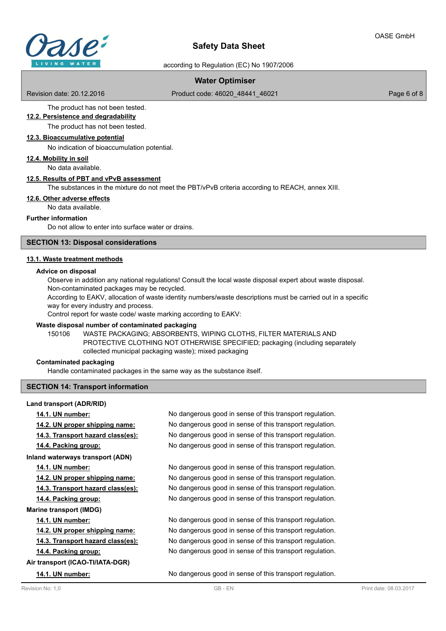

according to Regulation (EC) No 1907/2006

# **Water Optimiser**

Revision date: 20.12.2016

Product code: 46020\_48441\_46021 Page 6 of 8

The product has not been tested. **12.2. Persistence and degradability**

The product has not been tested.

### **12.3. Bioaccumulative potential**

No indication of bioaccumulation potential.

**12.4. Mobility in soil**

No data available.

#### **12.5. Results of PBT and vPvB assessment**

The substances in the mixture do not meet the PBT/vPvB criteria according to REACH, annex XIII.

### **12.6. Other adverse effects**

No data available.

#### **Further information**

Do not allow to enter into surface water or drains.

## **SECTION 13: Disposal considerations**

#### **13.1. Waste treatment methods**

#### **Advice on disposal**

Observe in addition any national regulations! Consult the local waste disposal expert about waste disposal. Non-contaminated packages may be recycled.

According to EAKV, allocation of waste identity numbers/waste descriptions must be carried out in a specific way for every industry and process.

Control report for waste code/ waste marking according to EAKV:

#### **Waste disposal number of contaminated packaging**

WASTE PACKAGING; ABSORBENTS, WIPING CLOTHS, FILTER MATERIALS AND PROTECTIVE CLOTHING NOT OTHERWISE SPECIFIED; packaging (including separately collected municipal packaging waste); mixed packaging 150106

#### **Contaminated packaging**

**Land transport (ADR/RID)**

Handle contaminated packages in the same way as the substance itself.

### **SECTION 14: Transport information**

**14.1. UN number:** No dangerous good in sense of this transport regulation. **14.2. UN proper shipping name:** No dangerous good in sense of this transport regulation. **14.3. Transport hazard class(es):** No dangerous good in sense of this transport regulation. **14.4. Packing group:** No dangerous good in sense of this transport regulation. **Inland waterways transport (ADN) 14.1. UN number:** No dangerous good in sense of this transport regulation. **14.2. UN proper shipping name:** No dangerous good in sense of this transport regulation. **14.3. Transport hazard class(es):** No dangerous good in sense of this transport regulation. **14.4. Packing group:** No dangerous good in sense of this transport regulation. **Marine transport (IMDG) 14.1. UN number:** No dangerous good in sense of this transport regulation. **14.2. UN proper shipping name:** No dangerous good in sense of this transport regulation. **14.3. Transport hazard class(es):** No dangerous good in sense of this transport regulation. **14.4. Packing group:** No dangerous good in sense of this transport regulation. **Air transport (ICAO-TI/IATA-DGR) 14.1. UN number:** No dangerous good in sense of this transport regulation.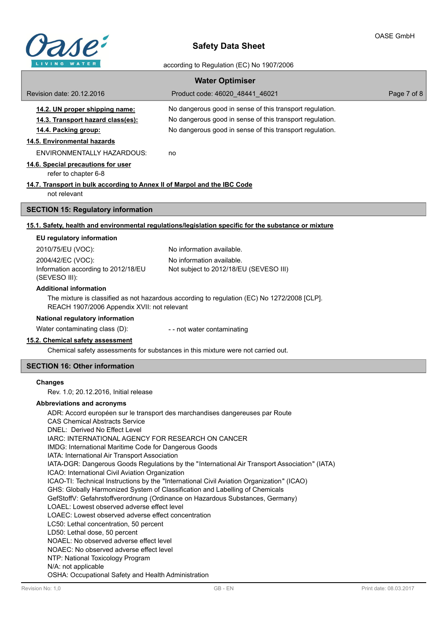

٦

# **Safety Data Sheet**

# according to Regulation (EC) No 1907/2006

| <b>Water Optimiser</b>                                                                                                                                                    |                                                                                                      |             |  |  |  |
|---------------------------------------------------------------------------------------------------------------------------------------------------------------------------|------------------------------------------------------------------------------------------------------|-------------|--|--|--|
| Revision date: 20.12.2016                                                                                                                                                 | Product code: 46020 48441 46021                                                                      | Page 7 of 8 |  |  |  |
| 14.2. UN proper shipping name:                                                                                                                                            | No dangerous good in sense of this transport regulation.                                             |             |  |  |  |
| 14.3. Transport hazard class(es):                                                                                                                                         | No dangerous good in sense of this transport regulation.                                             |             |  |  |  |
| 14.4. Packing group:                                                                                                                                                      | No dangerous good in sense of this transport regulation.                                             |             |  |  |  |
| 14.5. Environmental hazards                                                                                                                                               |                                                                                                      |             |  |  |  |
| <b>ENVIRONMENTALLY HAZARDOUS:</b>                                                                                                                                         | no                                                                                                   |             |  |  |  |
| 14.6. Special precautions for user<br>refer to chapter 6-8                                                                                                                |                                                                                                      |             |  |  |  |
| 14.7. Transport in bulk according to Annex II of Marpol and the IBC Code                                                                                                  |                                                                                                      |             |  |  |  |
| not relevant                                                                                                                                                              |                                                                                                      |             |  |  |  |
| <b>SECTION 15: Regulatory information</b>                                                                                                                                 |                                                                                                      |             |  |  |  |
|                                                                                                                                                                           | 15.1. Safety, health and environmental regulations/legislation specific for the substance or mixture |             |  |  |  |
| EU regulatory information                                                                                                                                                 |                                                                                                      |             |  |  |  |
| 2010/75/EU (VOC):                                                                                                                                                         | No information available.                                                                            |             |  |  |  |
| 2004/42/EC (VOC):                                                                                                                                                         | No information available.                                                                            |             |  |  |  |
| Information according to 2012/18/EU<br>(SEVESO III):                                                                                                                      | Not subject to 2012/18/EU (SEVESO III)                                                               |             |  |  |  |
| <b>Additional information</b>                                                                                                                                             |                                                                                                      |             |  |  |  |
| REACH 1907/2006 Appendix XVII: not relevant                                                                                                                               | The mixture is classified as not hazardous according to regulation (EC) No 1272/2008 [CLP].          |             |  |  |  |
| National regulatory information                                                                                                                                           |                                                                                                      |             |  |  |  |
| Water contaminating class (D):                                                                                                                                            | - - not water contaminating                                                                          |             |  |  |  |
| 15.2. Chemical safety assessment                                                                                                                                          | Chemical safety assessments for substances in this mixture were not carried out.                     |             |  |  |  |
| <b>SECTION 16: Other information</b>                                                                                                                                      |                                                                                                      |             |  |  |  |
| <b>Changes</b>                                                                                                                                                            |                                                                                                      |             |  |  |  |
| Rev. 1.0; 20.12.2016, Initial release                                                                                                                                     |                                                                                                      |             |  |  |  |
| Abbreviations and acronyms                                                                                                                                                |                                                                                                      |             |  |  |  |
|                                                                                                                                                                           | ADR: Accord européen sur le transport des marchandises dangereuses par Route                         |             |  |  |  |
| DNEL: Derived No Effect Level                                                                                                                                             | <b>CAS Chemical Abstracts Service</b>                                                                |             |  |  |  |
|                                                                                                                                                                           | IARC: INTERNATIONAL AGENCY FOR RESEARCH ON CANCER                                                    |             |  |  |  |
| IMDG: International Maritime Code for Dangerous Goods                                                                                                                     |                                                                                                      |             |  |  |  |
| IATA: International Air Transport Association<br>IATA-DGR: Dangerous Goods Regulations by the "International Air Transport Association" (IATA)                            |                                                                                                      |             |  |  |  |
| ICAO: International Civil Aviation Organization                                                                                                                           |                                                                                                      |             |  |  |  |
| ICAO-TI: Technical Instructions by the "International Civil Aviation Organization" (ICAO)<br>GHS: Globally Harmonized System of Classification and Labelling of Chemicals |                                                                                                      |             |  |  |  |
| GefStoffV: Gefahrstoffverordnung (Ordinance on Hazardous Substances, Germany)                                                                                             |                                                                                                      |             |  |  |  |
| LOAEL: Lowest observed adverse effect level<br>LOAEC: Lowest observed adverse effect concentration                                                                        |                                                                                                      |             |  |  |  |
| LC50: Lethal concentration, 50 percent                                                                                                                                    |                                                                                                      |             |  |  |  |
| LD50: Lethal dose, 50 percent                                                                                                                                             |                                                                                                      |             |  |  |  |
| NOAEL: No observed adverse effect level<br>NOAEC: No observed adverse effect level                                                                                        |                                                                                                      |             |  |  |  |
| NTP: National Toxicology Program                                                                                                                                          |                                                                                                      |             |  |  |  |
| N/A: not applicable                                                                                                                                                       |                                                                                                      |             |  |  |  |
| OSHA: Occupational Safety and Health Administration                                                                                                                       |                                                                                                      |             |  |  |  |